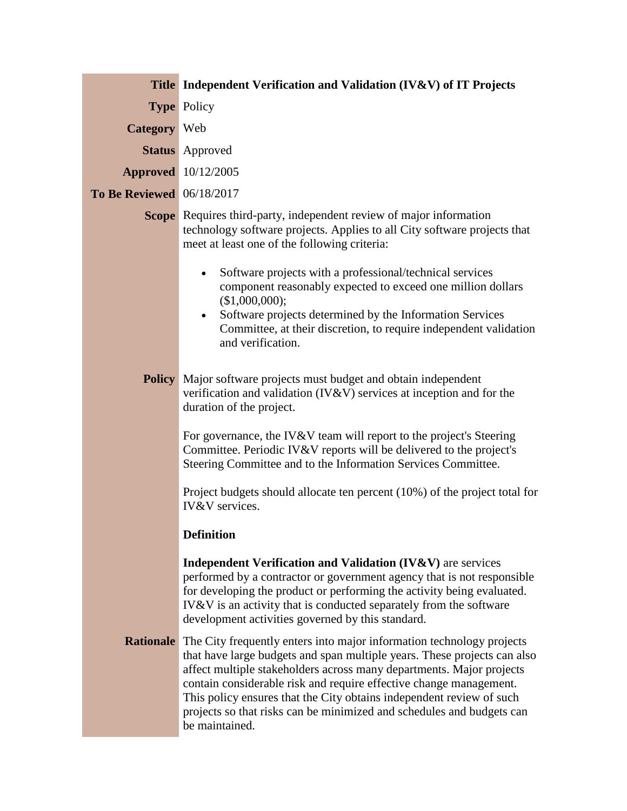|                                  | <b>Title</b> Independent Verification and Validation (IV&V) of IT Projects                                                                                                                                                                                                                                                                                                                                                                                                          |
|----------------------------------|-------------------------------------------------------------------------------------------------------------------------------------------------------------------------------------------------------------------------------------------------------------------------------------------------------------------------------------------------------------------------------------------------------------------------------------------------------------------------------------|
|                                  | <b>Type Policy</b>                                                                                                                                                                                                                                                                                                                                                                                                                                                                  |
| <b>Category</b> Web              |                                                                                                                                                                                                                                                                                                                                                                                                                                                                                     |
|                                  | <b>Status</b> Approved                                                                                                                                                                                                                                                                                                                                                                                                                                                              |
|                                  | <b>Approved</b> 10/12/2005                                                                                                                                                                                                                                                                                                                                                                                                                                                          |
| <b>To Be Reviewed</b> 06/18/2017 |                                                                                                                                                                                                                                                                                                                                                                                                                                                                                     |
|                                  | <b>Scope</b> Requires third-party, independent review of major information<br>technology software projects. Applies to all City software projects that<br>meet at least one of the following criteria:                                                                                                                                                                                                                                                                              |
|                                  | Software projects with a professional/technical services<br>$\bullet$<br>component reasonably expected to exceed one million dollars<br>(\$1,000,000);                                                                                                                                                                                                                                                                                                                              |
|                                  | Software projects determined by the Information Services<br>$\bullet$<br>Committee, at their discretion, to require independent validation<br>and verification.                                                                                                                                                                                                                                                                                                                     |
|                                  | <b>Policy</b> Major software projects must budget and obtain independent<br>verification and validation (IV&V) services at inception and for the<br>duration of the project.                                                                                                                                                                                                                                                                                                        |
|                                  | For governance, the IV&V team will report to the project's Steering<br>Committee. Periodic IV&V reports will be delivered to the project's<br>Steering Committee and to the Information Services Committee.                                                                                                                                                                                                                                                                         |
|                                  | Project budgets should allocate ten percent (10%) of the project total for<br><b>IV&amp;V</b> services.                                                                                                                                                                                                                                                                                                                                                                             |
|                                  | <b>Definition</b>                                                                                                                                                                                                                                                                                                                                                                                                                                                                   |
|                                  | <b>Independent Verification and Validation (IV&amp;V)</b> are services<br>performed by a contractor or government agency that is not responsible<br>for developing the product or performing the activity being evaluated.<br>IV&V is an activity that is conducted separately from the software<br>development activities governed by this standard.                                                                                                                               |
|                                  | <b>Rationale</b> The City frequently enters into major information technology projects<br>that have large budgets and span multiple years. These projects can also<br>affect multiple stakeholders across many departments. Major projects<br>contain considerable risk and require effective change management.<br>This policy ensures that the City obtains independent review of such<br>projects so that risks can be minimized and schedules and budgets can<br>be maintained. |